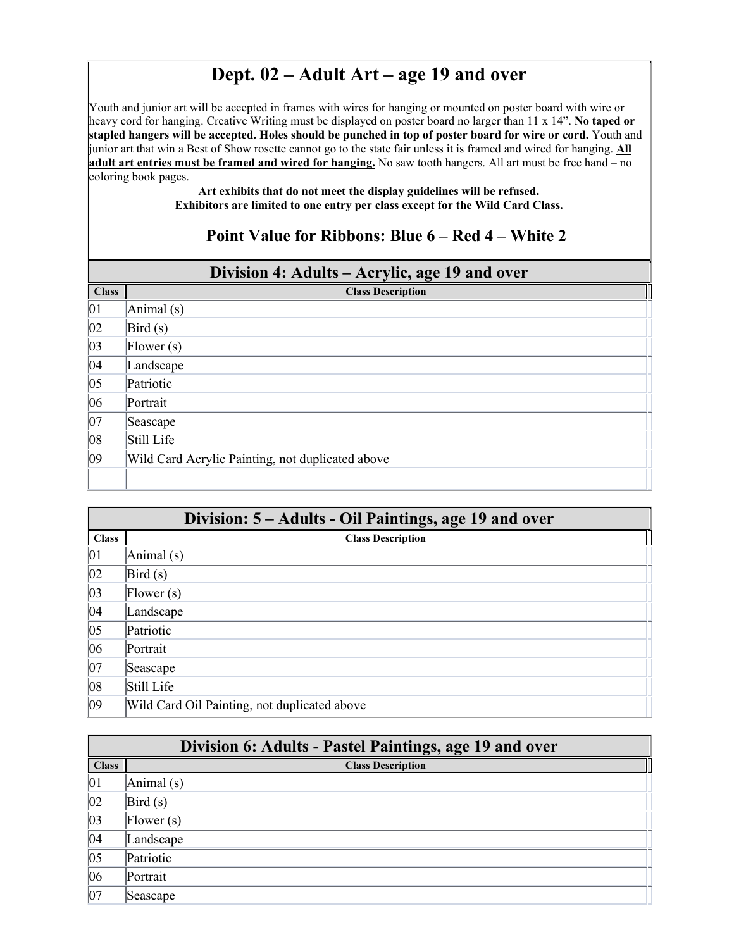## **Dept. 02 – Adult Art – age 19 and over**

Youth and junior art will be accepted in frames with wires for hanging or mounted on poster board with wire or heavy cord for hanging. Creative Writing must be displayed on poster board no larger than 11 x 14". **No taped or stapled hangers will be accepted. Holes should be punched in top of poster board for wire or cord.** Youth and junior art that win a Best of Show rosette cannot go to the state fair unless it is framed and wired for hanging. **All adult art entries must be framed and wired for hanging.** No saw tooth hangers. All art must be free hand – no coloring book pages.

> **Art exhibits that do not meet the display guidelines will be refused. Exhibitors are limited to one entry per class except for the Wild Card Class.**

## **Point Value for Ribbons: Blue 6 – Red 4 – White 2**

| Division 4: Adults – Acrylic, age 19 and over |                                                     |
|-----------------------------------------------|-----------------------------------------------------|
| <b>Class</b>                                  | <b>Class Description</b>                            |
| $ 01\rangle$                                  | Animal (s)                                          |
| $ 02\rangle$                                  | $\left  \text{Bird}\left( \text{s} \right) \right $ |
| $ 03\rangle$                                  | [Flower(s)]                                         |
| 04                                            | Landscape                                           |
| $ 05\rangle$                                  | Patriotic                                           |
| 06                                            | Portrait                                            |
| $ 07\rangle$                                  | Seascape                                            |
| 08                                            | Still Life                                          |
| 09                                            | Wild Card Acrylic Painting, not duplicated above    |
|                                               |                                                     |

|              | Division: 5 – Adults - Oil Paintings, age 19 and over |  |
|--------------|-------------------------------------------------------|--|
| <b>Class</b> | <b>Class Description</b>                              |  |
| 01           | $\text{Animal}(s)$                                    |  |
| $ 02\rangle$ | Bird(s)                                               |  |
| $ 03\rangle$ | [Flower(s)]                                           |  |
| 04           | Landscape                                             |  |
| $ 05\rangle$ | Patriotic                                             |  |
| 06           | Portrait                                              |  |
| $ 07\rangle$ | Seascape                                              |  |
| $ 08\rangle$ | Still Life                                            |  |
| $ 09\rangle$ | Wild Card Oil Painting, not duplicated above          |  |

|              | Division 6: Adults - Pastel Paintings, age 19 and over |  |
|--------------|--------------------------------------------------------|--|
| <b>Class</b> | <b>Class Description</b>                               |  |
| 01           | Animal (s)                                             |  |
| $ 02\rangle$ | Bird(s)                                                |  |
| $ 03\rangle$ | $\mathbf{F}$ lower $(s)$                               |  |
| 04           | Landscape                                              |  |
| $ 05\rangle$ | Patriotic                                              |  |
| 06           | Portrait                                               |  |
| 07           | Seascape                                               |  |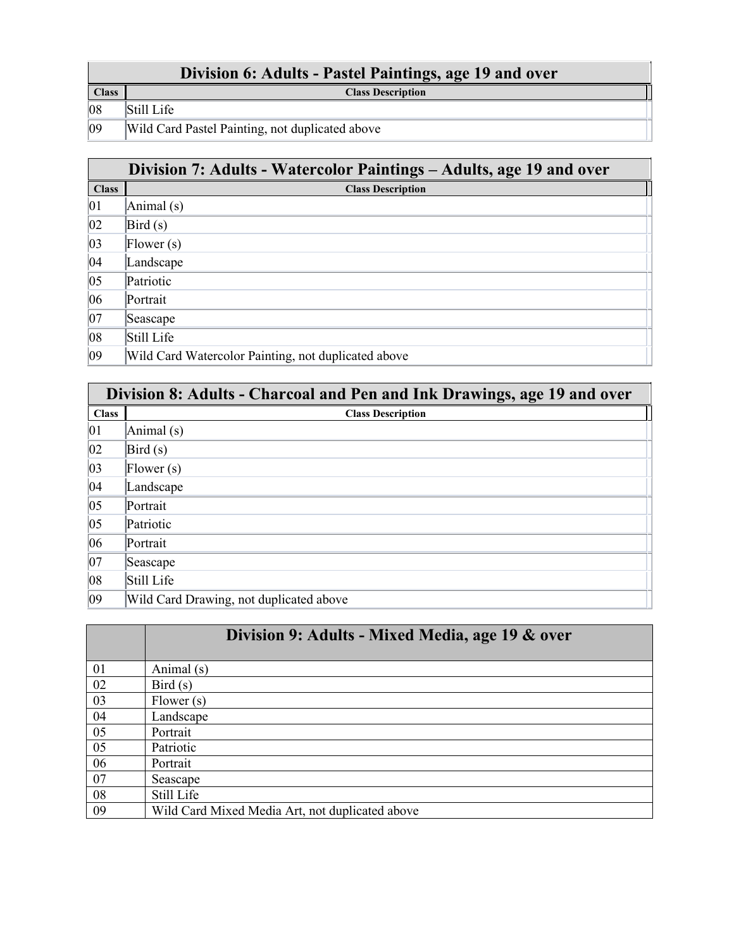**Class Class Description** Still Life

09 Wild Card Pastel Painting, not duplicated above

|              | Division 7: Adults - Watercolor Paintings – Adults, age 19 and over |
|--------------|---------------------------------------------------------------------|
| <b>Class</b> | <b>Class Description</b>                                            |
| 01           | Animal (s)                                                          |
| 02           | $\left  \text{Bird}\left( \text{s} \right) \right $                 |
| $ 03\rangle$ | [Flower(s)]                                                         |
| 04           | Landscape                                                           |
| 05           | Patriotic                                                           |
| 06           | Portrait                                                            |
| $ 07\rangle$ | Seascape                                                            |
| $ 08\rangle$ | Still Life                                                          |
| $ 09\rangle$ | Wild Card Watercolor Painting, not duplicated above                 |

|              | Division 8: Adults - Charcoal and Pen and Ink Drawings, age 19 and over |  |
|--------------|-------------------------------------------------------------------------|--|
| <b>Class</b> | <b>Class Description</b>                                                |  |
| 01           | Animal (s)                                                              |  |
| $ 02\rangle$ | Bird(s)                                                                 |  |
| $ 03\rangle$ | [Flower(s)]                                                             |  |
| 04           | Landscape                                                               |  |
| $ 05\rangle$ | Portrait                                                                |  |
| $ 05\rangle$ | Patriotic                                                               |  |
| 06           | Portrait                                                                |  |
| $ 07\rangle$ | Seascape                                                                |  |
| $ 08\rangle$ | Still Life                                                              |  |
| 09           | Wild Card Drawing, not duplicated above                                 |  |

|    | Division 9: Adults - Mixed Media, age 19 & over |
|----|-------------------------------------------------|
| 01 | Animal (s)                                      |
| 02 | Bird(s)                                         |
| 03 | Flower(s)                                       |
| 04 | Landscape                                       |
| 05 | Portrait                                        |
| 05 | Patriotic                                       |
| 06 | Portrait                                        |
| 07 | Seascape                                        |
| 08 | Still Life                                      |
| 09 | Wild Card Mixed Media Art, not duplicated above |